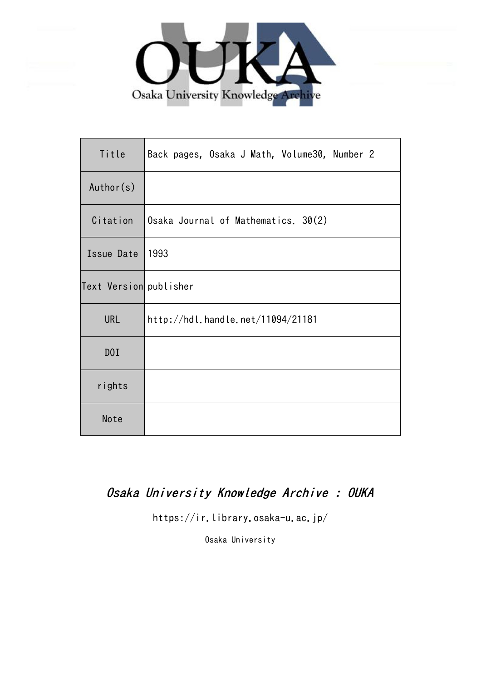

| Title                  | Back pages, Osaka J Math, Volume30, Number 2 |
|------------------------|----------------------------------------------|
| Author(s)              |                                              |
| Citation               | Osaka Journal of Mathematics. 30(2)          |
| Issue Date             | 1993                                         |
| Text Version publisher |                                              |
| <b>URL</b>             | http://hdl.handle.net/11094/21181            |
| D0I                    |                                              |
| rights                 |                                              |
| Note                   |                                              |

## Osaka University Knowledge Archive : OUKA

https://ir.library.osaka-u.ac.jp/

Osaka University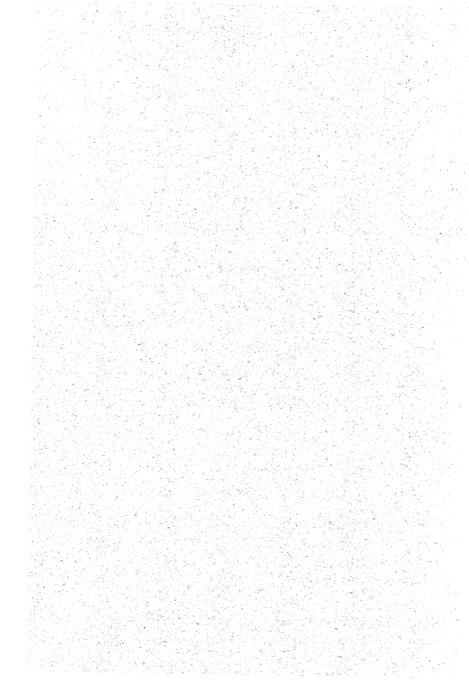